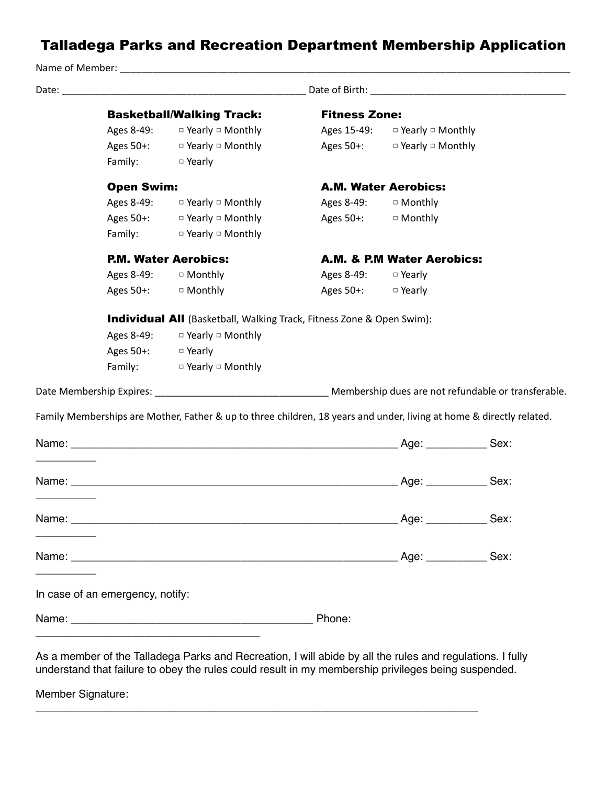## Talladega Parks and Recreation Department Membership Application

Name of Member:  $\blacksquare$ Date: \_\_\_\_\_\_\_\_\_\_\_\_\_\_\_\_\_\_\_\_\_\_\_\_\_\_\_\_\_\_\_\_\_\_\_\_\_\_\_\_\_\_\_\_\_ Date of Birth: \_\_\_\_\_\_\_\_\_\_\_\_\_\_\_\_\_\_\_\_\_\_\_\_\_\_\_\_\_\_\_\_\_\_\_\_ Basketball/Walking Track: Fitness Zone: Ages 8-49: □ Yearly □ Monthly Ages 15-49: □ Yearly □ Monthly Ages 50+: □ Yearly □ Monthly Bages 50+: □ Yearly □ Monthly Family: □ Yearly Open Swim: Case A.M. Water Aerobics: Ages 8-49:  $\Box$  Yearly  $\Box$  Monthly  $\Box$  Ages 8-49:  $\Box$  Monthly Ages 50+: □ Yearly □ Monthly Bes 50+: □ Monthly Family: □ Yearly □ Monthly P.M. Water Aerobics: A.M. & P.M Water Aerobics: Ages 8-49: □ Monthly Ages 8-49: □ Yearly Ages 50+: □ Monthly Best 50+: □ Yearly **Individual All** (Basketball, Walking Track, Fitness Zone & Open Swim): Ages 8-49: □ Yearly □ Monthly Ages 50+: □ Yearly Family: □ Yearly □ Monthly Date Membership Expires:  $\blacksquare$  Membership dues are not refundable or transferable. Family Memberships are Mother, Father & up to three children, 18 years and under, living at home & directly related. Name: \_\_\_\_\_\_\_\_\_\_\_\_\_\_\_\_\_\_\_\_\_\_\_\_\_\_\_\_\_\_\_\_\_\_\_\_\_\_\_\_\_\_\_\_\_\_\_\_\_\_\_\_\_\_ Age: \_\_\_\_\_\_\_\_\_\_ Sex: \_\_\_\_\_\_\_\_\_\_ Name: Sex: \_\_\_\_\_\_\_\_\_\_ Name: \_\_\_\_\_\_\_\_\_\_\_\_\_\_\_\_\_\_\_\_\_\_\_\_\_\_\_\_\_\_\_\_\_\_\_\_\_\_\_\_\_\_\_\_\_\_\_\_\_\_\_\_\_\_ Age: \_\_\_\_\_\_\_\_\_\_ Sex: \_\_\_\_\_\_\_\_\_\_ Name: \_\_\_\_\_\_\_\_\_\_\_\_\_\_\_\_\_\_\_\_\_\_\_\_\_\_\_\_\_\_\_\_\_\_\_\_\_\_\_\_\_\_\_\_\_\_\_\_\_\_\_\_\_\_ Age: \_\_\_\_\_\_\_\_\_\_ Sex: \_\_\_\_\_\_\_\_\_\_ In case of an emergency, notify: Name: \_\_\_\_\_\_\_\_\_\_\_\_\_\_\_\_\_\_\_\_\_\_\_\_\_\_\_\_\_\_\_\_\_\_\_\_\_\_\_\_ Phone: \_\_\_\_\_\_\_\_\_\_\_\_\_\_\_\_\_\_\_\_\_\_\_\_\_\_\_\_\_\_\_\_\_\_\_\_\_ As a member of the Talladega Parks and Recreation, I will abide by all the rules and regulations. I fully understand that failure to obey the rules could result in my membership privileges being suspended.

\_\_\_\_\_\_\_\_\_\_\_\_\_\_\_\_\_\_\_\_\_\_\_\_\_\_\_\_\_\_\_\_\_\_\_\_\_\_\_\_\_\_\_\_\_\_\_\_\_\_\_\_\_\_\_\_\_\_\_\_\_\_\_\_\_\_\_\_\_\_\_\_\_

Member Signature: